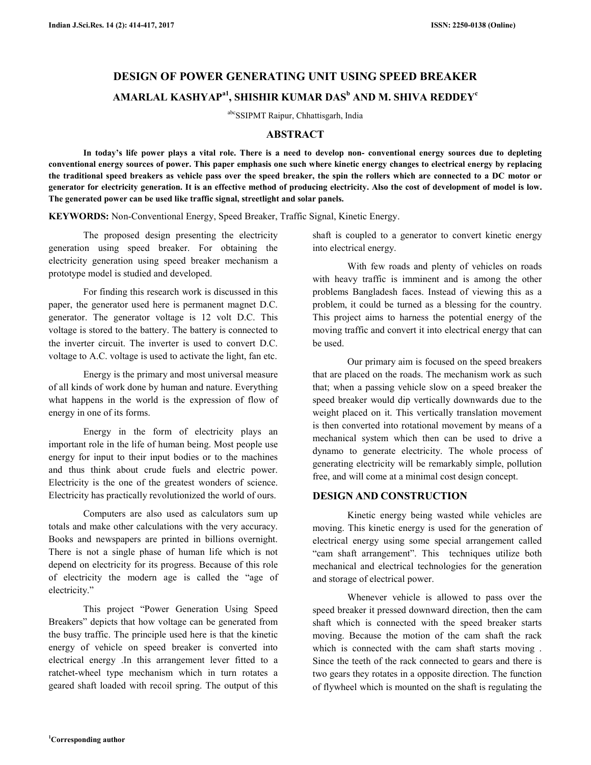# **DESIGN OF POWER GENERATING UNIT USING SPEED BREAKER AMARLAL KASHYAPa1, SHISHIR KUMAR DAS<sup>b</sup> AND M. SHIVA REDDEY<sup>c</sup>**

abcSSIPMT Raipur, Chhattisgarh, India

## **ABSTRACT**

 **In today's life power plays a vital role. There is a need to develop non- conventional energy sources due to depleting conventional energy sources of power. This paper emphasis one such where kinetic energy changes to electrical energy by replacing the traditional speed breakers as vehicle pass over the speed breaker, the spin the rollers which are connected to a DC motor or generator for electricity generation. It is an effective method of producing electricity. Also the cost of development of model is low. The generated power can be used like traffic signal, streetlight and solar panels.** 

**KEYWORDS:** Non-Conventional Energy, Speed Breaker, Traffic Signal, Kinetic Energy.

 The proposed design presenting the electricity generation using speed breaker. For obtaining the electricity generation using speed breaker mechanism a prototype model is studied and developed.

 For finding this research work is discussed in this paper, the generator used here is permanent magnet D.C. generator. The generator voltage is 12 volt D.C. This voltage is stored to the battery. The battery is connected to the inverter circuit. The inverter is used to convert D.C. voltage to A.C. voltage is used to activate the light, fan etc.

 Energy is the primary and most universal measure of all kinds of work done by human and nature. Everything what happens in the world is the expression of flow of energy in one of its forms.

 Energy in the form of electricity plays an important role in the life of human being. Most people use energy for input to their input bodies or to the machines and thus think about crude fuels and electric power. Electricity is the one of the greatest wonders of science. Electricity has practically revolutionized the world of ours.

 Computers are also used as calculators sum up totals and make other calculations with the very accuracy. Books and newspapers are printed in billions overnight. There is not a single phase of human life which is not depend on electricity for its progress. Because of this role of electricity the modern age is called the "age of electricity."

 This project "Power Generation Using Speed Breakers" depicts that how voltage can be generated from the busy traffic. The principle used here is that the kinetic energy of vehicle on speed breaker is converted into electrical energy .In this arrangement lever fitted to a ratchet-wheel type mechanism which in turn rotates a geared shaft loaded with recoil spring. The output of this

shaft is coupled to a generator to convert kinetic energy into electrical energy.

 With few roads and plenty of vehicles on roads with heavy traffic is imminent and is among the other problems Bangladesh faces. Instead of viewing this as a problem, it could be turned as a blessing for the country. This project aims to harness the potential energy of the moving traffic and convert it into electrical energy that can be used.

 Our primary aim is focused on the speed breakers that are placed on the roads. The mechanism work as such that; when a passing vehicle slow on a speed breaker the speed breaker would dip vertically downwards due to the weight placed on it. This vertically translation movement is then converted into rotational movement by means of a mechanical system which then can be used to drive a dynamo to generate electricity. The whole process of generating electricity will be remarkably simple, pollution free, and will come at a minimal cost design concept.

## **DESIGN AND CONSTRUCTION**

 Kinetic energy being wasted while vehicles are moving. This kinetic energy is used for the generation of electrical energy using some special arrangement called "cam shaft arrangement". This techniques utilize both mechanical and electrical technologies for the generation and storage of electrical power.

 Whenever vehicle is allowed to pass over the speed breaker it pressed downward direction, then the cam shaft which is connected with the speed breaker starts moving. Because the motion of the cam shaft the rack which is connected with the cam shaft starts moving . Since the teeth of the rack connected to gears and there is two gears they rotates in a opposite direction. The function of flywheel which is mounted on the shaft is regulating the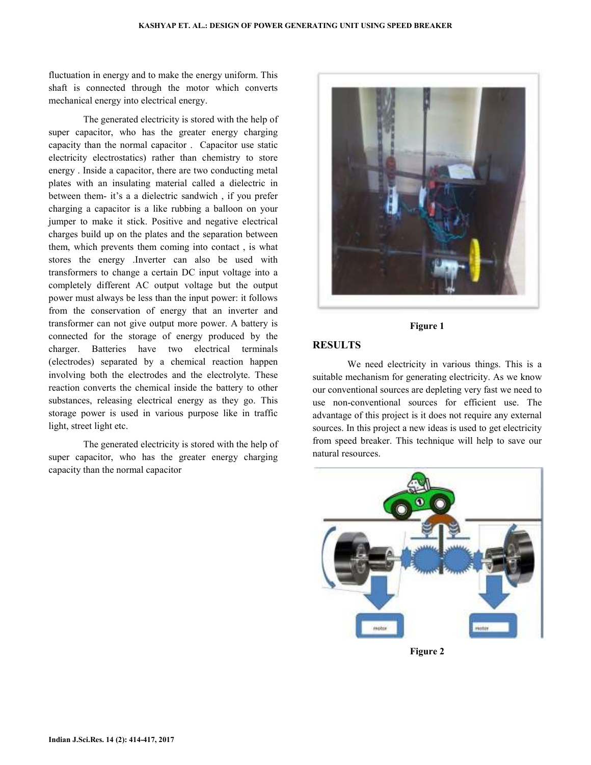fluctuation in energy and to make the energy uniform. This shaft is connected through the motor which converts mechanical energy into electrical energy.

 The generated electricity is stored with the help of super capacitor, who has the greater energy charging capacity than the normal capacitor . Capacitor use static electricity electrostatics) rather than chemistry to store energy . Inside a capacitor, there are two conducting metal plates with an insulating material called a dielectric in between them- it's a a dielectric sandwich , if you prefer charging a capacitor is a like rubbing a balloon on your jumper to make it stick. Positive and negative electrical charges build up on the plates and the separation between them, which prevents them coming into contact , is what stores the energy .Inverter can also be used with transformers to change a certain DC input voltage into a completely different AC output voltage but the output power must always be less than the input power: it follows from the conservation of energy that an inverter and transformer can not give output more power. A battery is connected for the storage of energy produced by the charger. Batteries have two electrical terminals (electrodes) separated by a chemical reaction happen involving both the electrodes and the electrolyte. These reaction converts the chemical inside the battery to other substances, releasing electrical energy as they go. This storage power is used in various purpose like in traffic light, street light etc.

 The generated electricity is stored with the help of super capacitor, who has the greater energy charging capacity than the normal capacitor



### **Figure 1**

## **RESULTS**

 We need electricity in various things. This is a suitable mechanism for generating electricity. As we know our conventional sources are depleting very fast we need to use non-conventional sources for efficient use. The advantage of this project is it does not require any external sources. In this project a new ideas is used to get electricity from speed breaker. This technique will help to save our natural resources.



**Figure 2**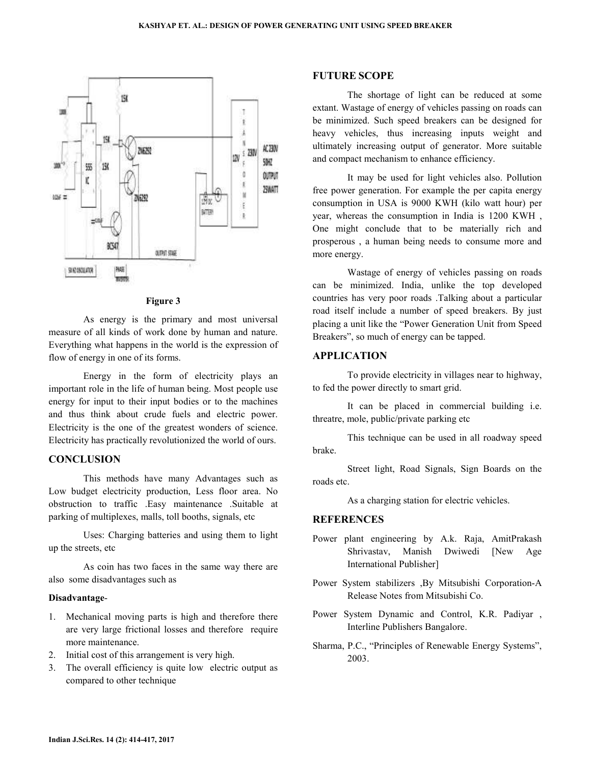

#### **Figure 3**

 As energy is the primary and most universal measure of all kinds of work done by human and nature. Everything what happens in the world is the expression of flow of energy in one of its forms.

 Energy in the form of electricity plays an important role in the life of human being. Most people use energy for input to their input bodies or to the machines and thus think about crude fuels and electric power. Electricity is the one of the greatest wonders of science. Electricity has practically revolutionized the world of ours.

## **CONCLUSION**

 This methods have many Advantages such as Low budget electricity production, Less floor area. No obstruction to traffic .Easy maintenance .Suitable at parking of multiplexes, malls, toll booths, signals, etc

 Uses: Charging batteries and using them to light up the streets, etc

 As coin has two faces in the same way there are also some disadvantages such as

#### **Disadvantage**-

- 1. Mechanical moving parts is high and therefore there are very large frictional losses and therefore require more maintenance.
- 2. Initial cost of this arrangement is very high.
- 3. The overall efficiency is quite low electric output as compared to other technique

#### **FUTURE SCOPE**

 The shortage of light can be reduced at some extant. Wastage of energy of vehicles passing on roads can be minimized. Such speed breakers can be designed for heavy vehicles, thus increasing inputs weight and ultimately increasing output of generator. More suitable and compact mechanism to enhance efficiency.

 It may be used for light vehicles also. Pollution free power generation. For example the per capita energy consumption in USA is 9000 KWH (kilo watt hour) per year, whereas the consumption in India is 1200 KWH , One might conclude that to be materially rich and prosperous , a human being needs to consume more and more energy.

 Wastage of energy of vehicles passing on roads can be minimized. India, unlike the top developed countries has very poor roads .Talking about a particular road itself include a number of speed breakers. By just placing a unit like the "Power Generation Unit from Speed Breakers", so much of energy can be tapped.

## **APPLICATION**

 To provide electricity in villages near to highway, to fed the power directly to smart grid.

 It can be placed in commercial building i.e. threatre, mole, public/private parking etc

 This technique can be used in all roadway speed brake.

 Street light, Road Signals, Sign Boards on the roads etc.

As a charging station for electric vehicles.

#### **REFERENCES**

- Power plant engineering by A.k. Raja, AmitPrakash Shrivastav, Manish Dwiwedi [New Age International Publisher]
- Power System stabilizers ,By Mitsubishi Corporation-A Release Notes from Mitsubishi Co.
- Power System Dynamic and Control, K.R. Padiyar , Interline Publishers Bangalore.
- Sharma, P.C., "Principles of Renewable Energy Systems", 2003.